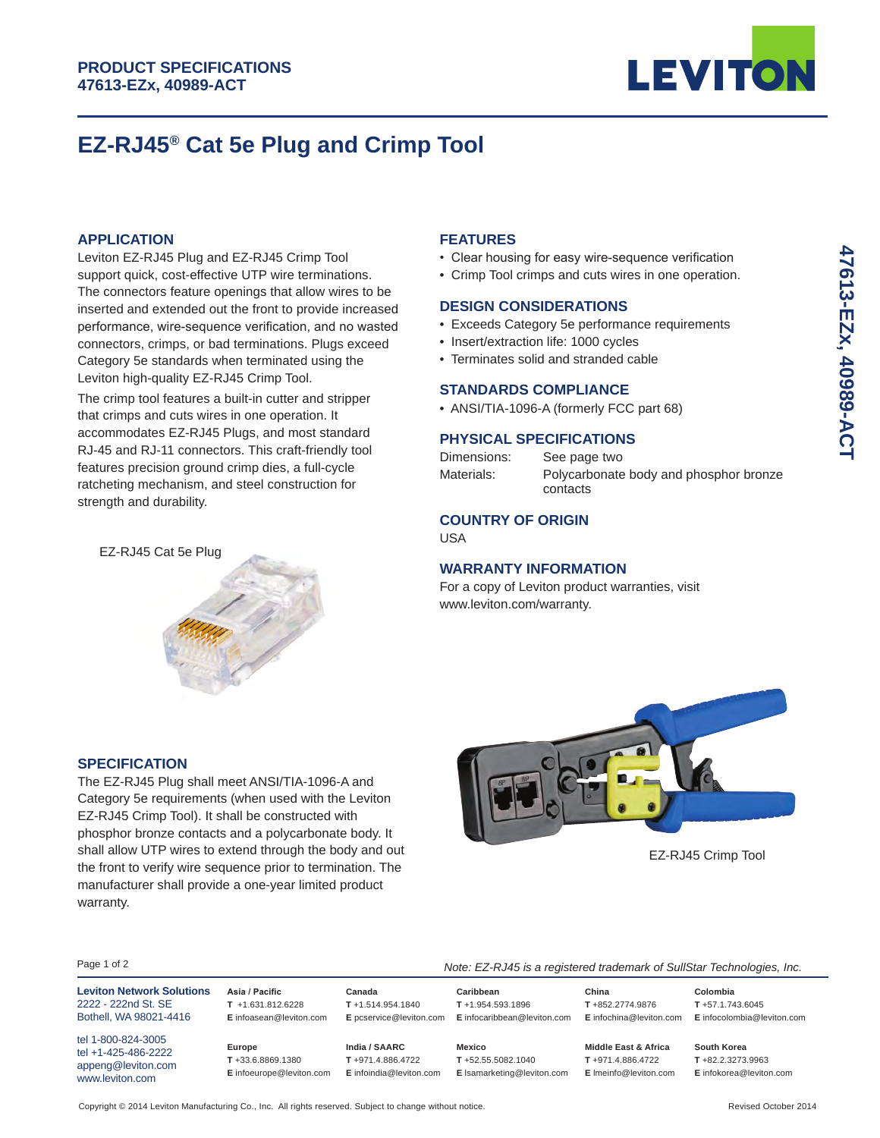

# **EZ-RJ45® Cat 5e Plug and Crimp Tool**

# **APPLICATION**

Leviton EZ-RJ45 Plug and EZ-RJ45 Crimp Tool support quick, cost-effective UTP wire terminations. The connectors feature openings that allow wires to be inserted and extended out the front to provide increased performance, wire-sequence verification, and no wasted connectors, crimps, or bad terminations. Plugs exceed Category 5e standards when terminated using the Leviton high-quality EZ-RJ45 Crimp Tool.

The crimp tool features a built-in cutter and stripper that crimps and cuts wires in one operation. It accommodates EZ-RJ45 Plugs, and most standard RJ-45 and RJ-11 connectors. This craft-friendly tool features precision ground crimp dies, a full-cycle ratcheting mechanism, and steel construction for strength and durability.



The EZ-RJ45 Plug shall meet ANSI/TIA-1096-A and Category 5e requirements (when used with the Leviton EZ-RJ45 Crimp Tool). It shall be constructed with phosphor bronze contacts and a polycarbonate body. It shall allow UTP wires to extend through the body and out the front to verify wire sequence prior to termination. The manufacturer shall provide a one-year limited product

# **FEATURES**

- Clear housing for easy wire-sequence verification
- Crimp Tool crimps and cuts wires in one operation.

### **DESIGN CONSIDERATIONS**

- Exceeds Category 5e performance requirements
- Insert/extraction life: 1000 cycles
- Terminates solid and stranded cable

# **STANDARDS COMPLIANCE**

• ANSI/TIA-1096-A (formerly FCC part 68)

# **PHYSICAL SPECIFICATIONS**

| Dimensions: | See page two                                       |
|-------------|----------------------------------------------------|
| Materials:  | Polycarbonate body and phosphor bronze<br>contacts |

# **COUNTRY OF ORIGIN**

USA

# **WARRANTY INFORMATION**

For a copy of Leviton product warranties, visit www.leviton.com/warranty.



EZ-RJ45 Crimp Tool

**Colombia T** +57.1.743.6045

#### Page 1 of 2

tel 1-800-824-3005 tel +1-425-486-2222 appeng@leviton.com www.leviton.com

warranty.

**Leviton Network Solutions** 2222 - 222nd St. SE Bothell, WA 98021-4416

**SPECIFICATION**

**Asia / Pacific T** +1.631.812.6228 **E** infoasean@leviton.com

**Europe T** +33.6.8869.1380

**India / SAARC T** +971.4.886.4722

**Canada T** +1.514.954.1840

**E** pcservice@leviton.com **E** infocaribbean@leviton.com **Mexico**

**Caribbean T** +1.954.593.1896

**E** infoeurope@leviton.com **E** infoindia@leviton.com **E** lsamarketing@leviton.com **T** +52.55.5082.1040

**Middle East & Africa T** +971.4.886.4722 **E** lmeinfo@leviton.com **South Korea**

**China T** +852.2774.9876

*Note: EZ-RJ45 is a registered trademark of SullStar Technologies, Inc.*

**E** infochina@leviton.com **E** infocolombia@leviton.com

**T** +82.2.3273.9963 **E** infokorea@leviton.com

Copyright @ 2014 Leviton Manufacturing Co., Inc. All rights reserved. Subject to change without notice. Revised Construction of the exised October 2014